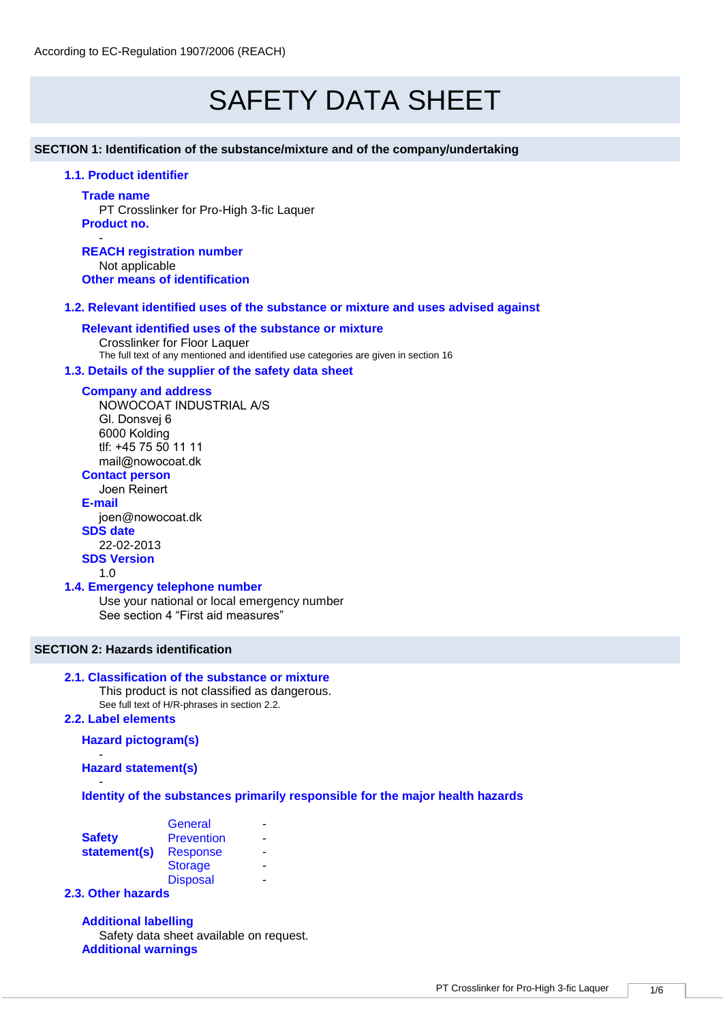# SAFETY DATA SHEET

#### **SECTION 1: Identification of the substance/mixture and of the company/undertaking**

# **1.1. Product identifier**

#### **Trade name**

PT Crosslinker for Pro-High 3-fic Laquer **Product no.** -

**REACH registration number** Not applicable **Other means of identification**

#### **1.2. Relevant identified uses of the substance or mixture and uses advised against**

#### **Relevant identified uses of the substance or mixture**

Crosslinker for Floor Laquer The full text of any mentioned and identified use categories are given in section 16

## **1.3. Details of the supplier of the safety data sheet**

#### **Company and address**

NOWOCOAT INDUSTRIAL A/S Gl. Donsvej 6 6000 Kolding tlf: +45 75 50 11 11 mail@nowocoat.dk

# **Contact person**

Joen Reinert

**E-mail** joen@nowocoat.dk **SDS date**  22-02-2013

# **SDS Version**

1.0

# **1.4. Emergency telephone number**

Use your national or local emergency number See section 4 "First aid measures"

# **SECTION 2: Hazards identification**

# **2.1. Classification of the substance or mixture**

This product is not classified as dangerous. See full text of H/R-phrases in section 2.2.

# **2.2. Label elements**

# **Hazard pictogram(s)**

- **Hazard statement(s)**

#### - **Identity of the substances primarily responsible for the major health hazards**

|               | General           |  |
|---------------|-------------------|--|
| <b>Safety</b> | <b>Prevention</b> |  |
| statement(s)  | <b>Response</b>   |  |
|               | <b>Storage</b>    |  |
|               | <b>Disposal</b>   |  |
|               |                   |  |

# **2.3. Other hazards**

**Additional labelling** Safety data sheet available on request. **Additional warnings**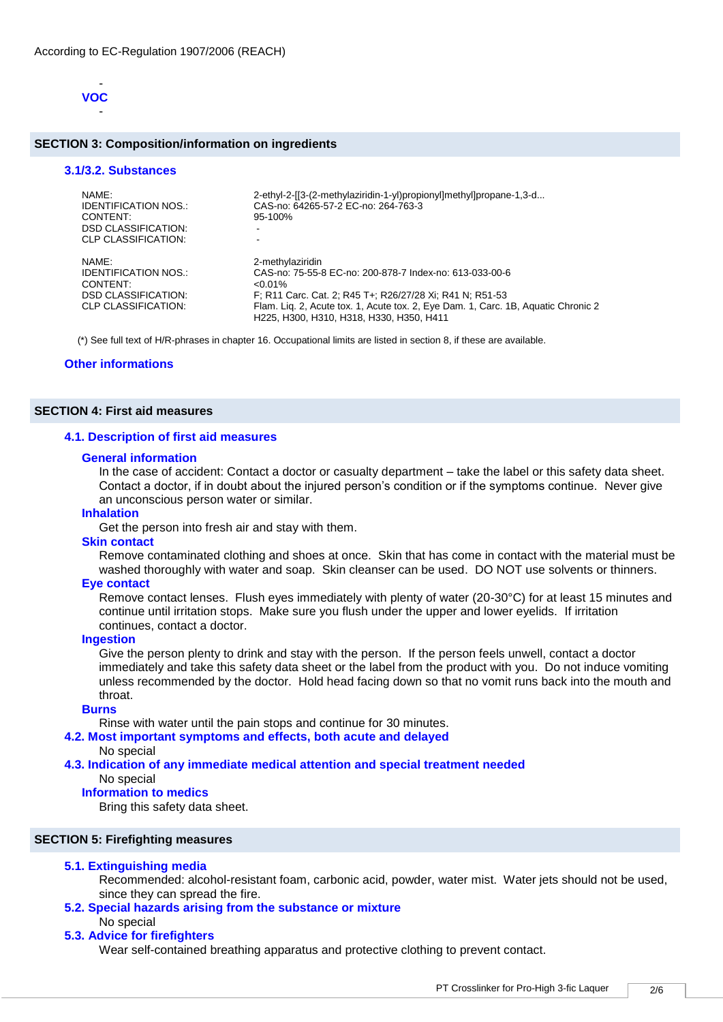

#### **SECTION 3: Composition/information on ingredients**

#### **3.1/3.2. Substances**

| NAMF:<br><b>IDENTIFICATION NOS.:</b><br>CONTENT:<br><b>DSD CLASSIFICATION:</b><br>CLP CLASSIFICATION: | 2-ethyl-2-[[3-(2-methylaziridin-1-yl)propionyl]methyl]propane-1,3-d<br>CAS-no: 64265-57-2 EC-no: 264-763-3<br>$95 - 100%$                                                                                                                                                              |
|-------------------------------------------------------------------------------------------------------|----------------------------------------------------------------------------------------------------------------------------------------------------------------------------------------------------------------------------------------------------------------------------------------|
| NAMF:<br>IDENTIFICATION NOS.:<br>CONTENT:<br><b>DSD CLASSIFICATION:</b><br>CLP CLASSIFICATION:        | 2-methylaziridin<br>CAS-no: 75-55-8 EC-no: 200-878-7 Index-no: 613-033-00-6<br>$< 0.01\%$<br>F; R11 Carc. Cat. 2; R45 T+; R26/27/28 Xi; R41 N; R51-53<br>Flam. Lig. 2, Acute tox. 1, Acute tox. 2, Eye Dam. 1, Carc. 1B, Aquatic Chronic 2<br>H225, H300, H310, H318, H330, H350, H411 |

(\*) See full text of H/R-phrases in chapter 16. Occupational limits are listed in section 8, if these are available.

#### **Other informations**

#### **SECTION 4: First aid measures**

#### **4.1. Description of first aid measures**

#### **General information**

In the case of accident: Contact a doctor or casualty department – take the label or this safety data sheet. Contact a doctor, if in doubt about the injured person's condition or if the symptoms continue. Never give an unconscious person water or similar.

## **Inhalation**

Get the person into fresh air and stay with them.

#### **Skin contact**

Remove contaminated clothing and shoes at once. Skin that has come in contact with the material must be washed thoroughly with water and soap. Skin cleanser can be used. DO NOT use solvents or thinners.

#### **Eye contact**

Remove contact lenses. Flush eyes immediately with plenty of water (20-30°C) for at least 15 minutes and continue until irritation stops. Make sure you flush under the upper and lower eyelids. If irritation continues, contact a doctor.

#### **Ingestion**

Give the person plenty to drink and stay with the person. If the person feels unwell, contact a doctor immediately and take this safety data sheet or the label from the product with you. Do not induce vomiting unless recommended by the doctor. Hold head facing down so that no vomit runs back into the mouth and throat.

## **Burns**

Rinse with water until the pain stops and continue for 30 minutes.

#### **4.2. Most important symptoms and effects, both acute and delayed**

# No special

## **4.3. Indication of any immediate medical attention and special treatment needed**

#### No special

**Information to medics**

Bring this safety data sheet.

# **SECTION 5: Firefighting measures**

### **5.1. Extinguishing media**

Recommended: alcohol-resistant foam, carbonic acid, powder, water mist. Water jets should not be used, since they can spread the fire.

# **5.2. Special hazards arising from the substance or mixture**

No special

# **5.3. Advice for firefighters**

Wear self-contained breathing apparatus and protective clothing to prevent contact.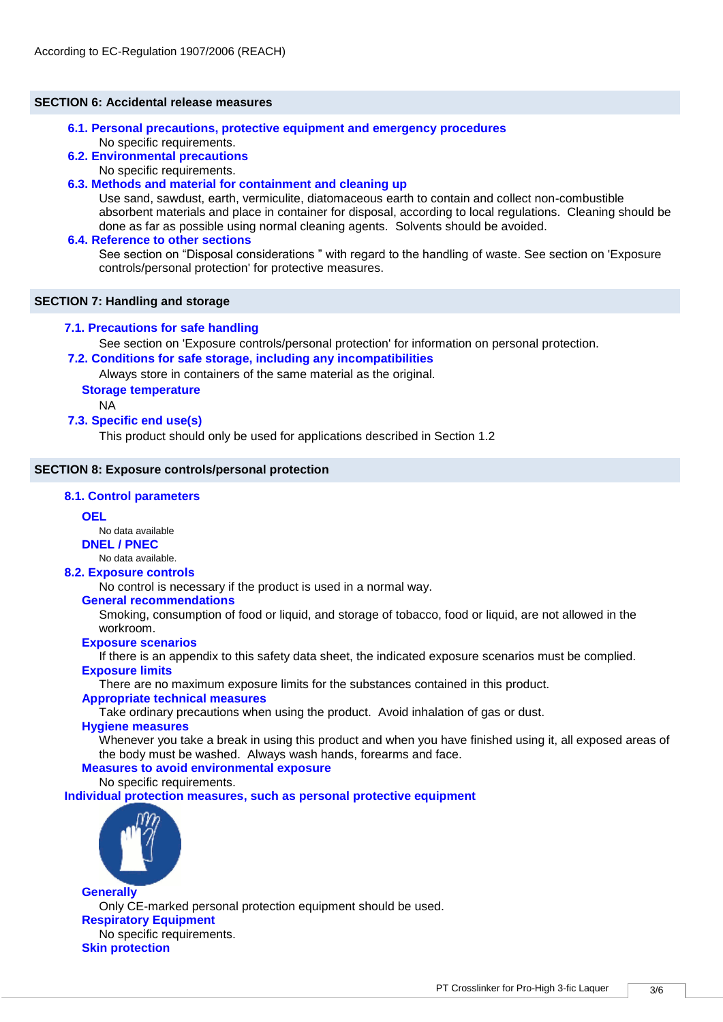#### **SECTION 6: Accidental release measures**

## **6.1. Personal precautions, protective equipment and emergency procedures**  No specific requirements.

#### **6.2. Environmental precautions**

No specific requirements.

## **6.3. Methods and material for containment and cleaning up**

Use sand, sawdust, earth, vermiculite, diatomaceous earth to contain and collect non-combustible absorbent materials and place in container for disposal, according to local regulations. Cleaning should be done as far as possible using normal cleaning agents. Solvents should be avoided.

#### **6.4. Reference to other sections**

See section on "Disposal considerations " with regard to the handling of waste. See section on 'Exposure controls/personal protection' for protective measures.

## **SECTION 7: Handling and storage**

## **7.1. Precautions for safe handling**

See section on 'Exposure controls/personal protection' for information on personal protection.

**7.2. Conditions for safe storage, including any incompatibilities** 

Always store in containers of the same material as the original.

# **Storage temperature**

NA

# **7.3. Specific end use(s)**

This product should only be used for applications described in Section 1.2

### **SECTION 8: Exposure controls/personal protection**

## **8.1. Control parameters**

# **OEL**

No data available

**DNEL / PNEC** No data available.

# **8.2. Exposure controls**

No control is necessary if the product is used in a normal way.

### **General recommendations**

Smoking, consumption of food or liquid, and storage of tobacco, food or liquid, are not allowed in the workroom.

### **Exposure scenarios**

If there is an appendix to this safety data sheet, the indicated exposure scenarios must be complied.

# **Exposure limits**

There are no maximum exposure limits for the substances contained in this product.

### **Appropriate technical measures**

Take ordinary precautions when using the product. Avoid inhalation of gas or dust.

# **Hygiene measures**

Whenever you take a break in using this product and when you have finished using it, all exposed areas of the body must be washed. Always wash hands, forearms and face.

# **Measures to avoid environmental exposure**

No specific requirements.

**Individual protection measures, such as personal protective equipment**



**Generally** Only CE-marked personal protection equipment should be used. **Respiratory Equipment** No specific requirements. **Skin protection**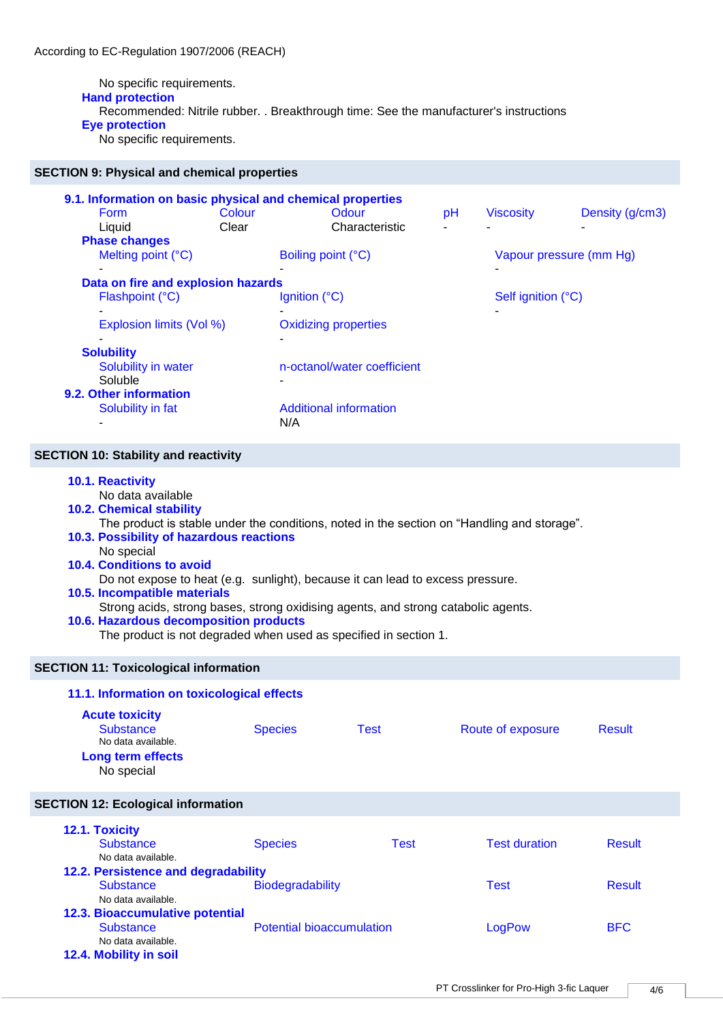No specific requirements. **Hand protection** Recommended: Nitrile rubber. . Breakthrough time: See the manufacturer's instructions **Eye protection**

No specific requirements.

# **SECTION 9: Physical and chemical properties**

|                                                    |        | 9.1. Information on basic physical and chemical properties |                         |                    |                 |  |
|----------------------------------------------------|--------|------------------------------------------------------------|-------------------------|--------------------|-----------------|--|
| <b>Form</b>                                        | Colour | Odour                                                      | рH                      | <b>Viscosity</b>   | Density (g/cm3) |  |
| Liquid                                             | Clear  | Characteristic                                             |                         |                    |                 |  |
| <b>Phase changes</b>                               |        |                                                            |                         |                    |                 |  |
| Melting point (°C)                                 |        | Boiling point (°C)                                         | Vapour pressure (mm Hg) |                    |                 |  |
| ۰                                                  |        |                                                            |                         |                    |                 |  |
| Data on fire and explosion hazards                 |        |                                                            |                         |                    |                 |  |
| Flashpoint (°C)                                    |        | Ignition $(^{\circ}C)$                                     |                         | Self ignition (°C) |                 |  |
|                                                    |        |                                                            |                         |                    |                 |  |
| Explosion limits (Vol %)                           |        | <b>Oxidizing properties</b>                                |                         |                    |                 |  |
|                                                    |        |                                                            |                         |                    |                 |  |
| <b>Solubility</b>                                  |        |                                                            |                         |                    |                 |  |
| n-octanol/water coefficient<br>Solubility in water |        |                                                            |                         |                    |                 |  |
| Soluble                                            |        | $\overline{\phantom{0}}$                                   |                         |                    |                 |  |
| 9.2. Other information                             |        |                                                            |                         |                    |                 |  |
| Solubility in fat                                  |        | <b>Additional information</b>                              |                         |                    |                 |  |
|                                                    |        | N/A                                                        |                         |                    |                 |  |
|                                                    |        |                                                            |                         |                    |                 |  |

# **SECTION 10: Stability and reactivity**

| 10.1. Reactivity<br>No data available<br><b>10.2. Chemical stability</b><br>The product is stable under the conditions, noted in the section on "Handling and storage".<br>10.3. Possibility of hazardous reactions<br>No special<br><b>10.4. Conditions to avoid</b><br>Do not expose to heat (e.g. sunlight), because it can lead to excess pressure.<br>10.5. Incompatible materials<br>Strong acids, strong bases, strong oxidising agents, and strong catabolic agents.<br>10.6. Hazardous decomposition products<br>The product is not degraded when used as specified in section 1. |                |             |                      |               |  |  |  |  |
|--------------------------------------------------------------------------------------------------------------------------------------------------------------------------------------------------------------------------------------------------------------------------------------------------------------------------------------------------------------------------------------------------------------------------------------------------------------------------------------------------------------------------------------------------------------------------------------------|----------------|-------------|----------------------|---------------|--|--|--|--|
| <b>SECTION 11: Toxicological information</b>                                                                                                                                                                                                                                                                                                                                                                                                                                                                                                                                               |                |             |                      |               |  |  |  |  |
| 11.1. Information on toxicological effects                                                                                                                                                                                                                                                                                                                                                                                                                                                                                                                                                 |                |             |                      |               |  |  |  |  |
| <b>Acute toxicity</b><br><b>Substance</b><br>No data available.<br><b>Long term effects</b><br>No special                                                                                                                                                                                                                                                                                                                                                                                                                                                                                  | <b>Species</b> | <b>Test</b> | Route of exposure    | <b>Result</b> |  |  |  |  |
| <b>SECTION 12: Ecological information</b>                                                                                                                                                                                                                                                                                                                                                                                                                                                                                                                                                  |                |             |                      |               |  |  |  |  |
| 12.1. Toxicity<br><b>Substance</b>                                                                                                                                                                                                                                                                                                                                                                                                                                                                                                                                                         | Species        | <b>Test</b> | <b>Test duration</b> | <b>Result</b> |  |  |  |  |

| <u>iaili Luaivily</u>               |                                  |      |                      |               |
|-------------------------------------|----------------------------------|------|----------------------|---------------|
| <b>Substance</b>                    | <b>Species</b>                   | Test | <b>Test duration</b> | <b>Result</b> |
| No data available.                  |                                  |      |                      |               |
| 12.2. Persistence and degradability |                                  |      |                      |               |
| <b>Substance</b>                    | Biodegradability                 |      | Test                 | <b>Result</b> |
| No data available.                  |                                  |      |                      |               |
| 12.3. Bioaccumulative potential     |                                  |      |                      |               |
| <b>Substance</b>                    | <b>Potential bioaccumulation</b> |      | LogPow               | <b>BFC</b>    |
| No data available.                  |                                  |      |                      |               |
| 12.4. Mobility in soil              |                                  |      |                      |               |
|                                     |                                  |      |                      |               |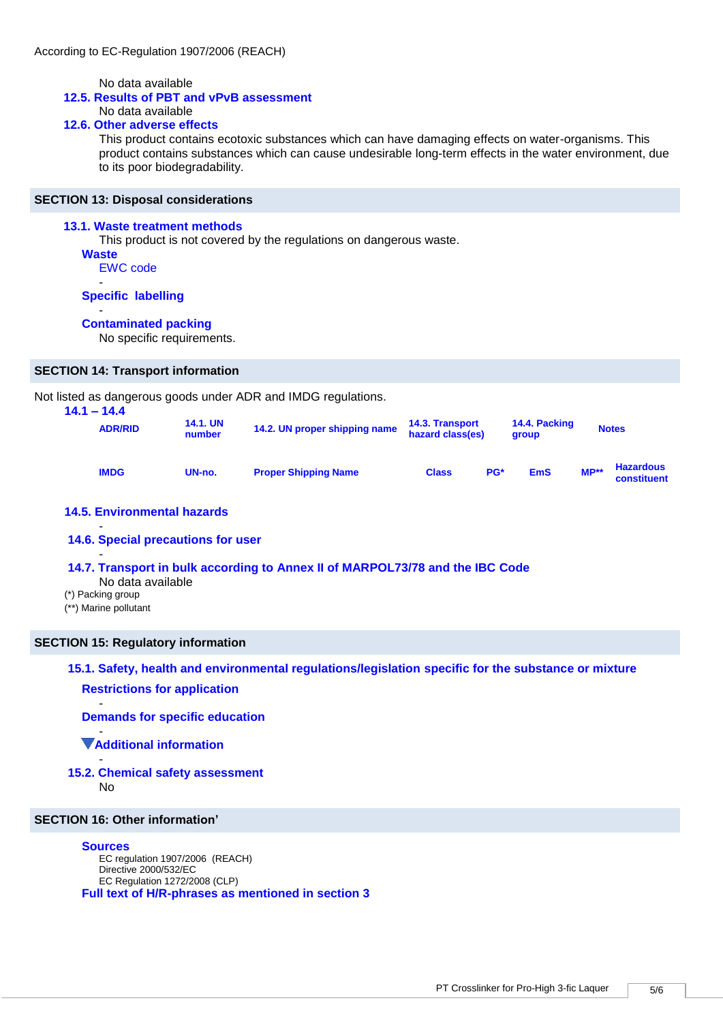No data available

## **12.5. Results of PBT and vPvB assessment**

# No data available

# **12.6. Other adverse effects**

This product contains ecotoxic substances which can have damaging effects on water-organisms. This product contains substances which can cause undesirable long-term effects in the water environment, due to its poor biodegradability.

#### **SECTION 13: Disposal considerations**

#### **13.1. Waste treatment methods**

This product is not covered by the regulations on dangerous waste.

- **Waste** EWC code
	- -

-

**Specific labelling**

#### **Contaminated packing**

No specific requirements.

#### **SECTION 14: Transport information**

Not listed as dangerous goods under ADR and IMDG regulations.

| $14.1 - 14.4$<br><b>ADR/RID</b> | <b>14.1. UN</b><br>number | 14.2. UN proper shipping name | <b>14.3. Transport</b><br>hazard class(es) |     | 14.4. Packing<br>group |        | <b>Notes</b>                    |
|---------------------------------|---------------------------|-------------------------------|--------------------------------------------|-----|------------------------|--------|---------------------------------|
| <b>IMDG</b>                     | UN-no.                    | <b>Proper Shipping Name</b>   | <b>Class</b>                               | PG* | <b>EmS</b>             | $MP**$ | <b>Hazardous</b><br>constituent |

# **14.5. Environmental hazards**

# **14.6. Special precautions for user**

#### **14.7. Transport in bulk according to Annex II of MARPOL73/78 and the IBC Code**

- No data available
- (\*) Packing group

-

-

(\*\*) Marine pollutant

#### **SECTION 15: Regulatory information**

# **15.1. Safety, health and environmental regulations/legislation specific for the substance or mixture**

## **Restrictions for application**

**Demands for specific education**

#### - **Additional information**

- **15.2. Chemical safety assessment** 
	- No

-

## **SECTION 16: Other information'**

#### **Sources**

EC regulation 1907/2006 (REACH) Directive 2000/532/EC EC Regulation 1272/2008 (CLP) **Full text of H/R-phrases as mentioned in section 3**